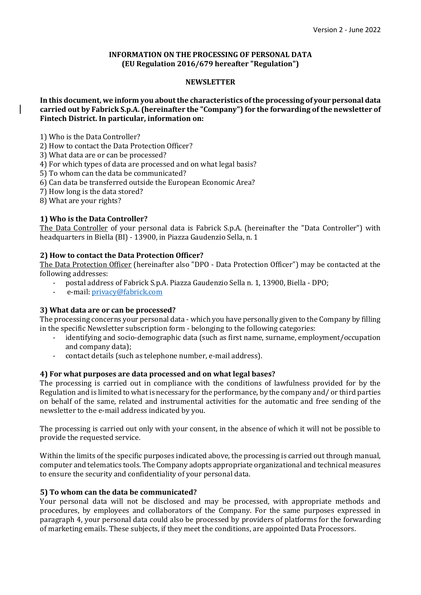## **INFORMATION ON THE PROCESSING OF PERSONAL DATA (EU Regulation 2016/679 hereafter "Regulation")**

# **NEWSLETTER**

# **In this document, we inform you about the characteristics of the processing of your personal data carried out by Fabrick S.p.A. (hereinafter the "Company") for the forwarding of the newsletter of Fintech District. In particular, information on:**

1) Who is the Data Controller?

2) How to contact the Data Protection Officer?

3) What data are or can be processed?

4) For which types of data are processed and on what legal basis?

5) To whom can the data be communicated?

6) Can data be transferred outside the European Economic Area?

7) How long is the data stored?

8) What are your rights?

# **1) Who is the Data Controller?**

The Data Controller of your personal data is Fabrick S.p.A. (hereinafter the "Data Controller") with headquarters in Biella (BI) - 13900, in Piazza Gaudenzio Sella, n. 1

### **2) How to contact the Data Protection Officer?**

The Data Protection Officer (hereinafter also "DPO - Data Protection Officer") may be contacted at the following addresses:

- postal address of Fabrick S.p.A. Piazza Gaudenzio Sella n. 1, 13900, Biella DPO;
- e-mail: [privacy@fabrick.com](mailto:privacy@fabrick.com)

#### **3) What data are or can be processed?**

The processing concerns your personal data - which you have personally given to the Company by filling in the specific Newsletter subscription form - belonging to the following categories:

- identifying and socio-demographic data (such as first name, surname, employment/occupation and company data);
- contact details (such as telephone number, e-mail address).

# **4) For what purposes are data processed and on what legal bases?**

The processing is carried out in compliance with the conditions of lawfulness provided for by the Regulation and is limited to what is necessary for the performance, by the company and/ or third parties on behalf of the same, related and instrumental activities for the automatic and free sending of the newsletter to the e-mail address indicated by you.

The processing is carried out only with your consent, in the absence of which it will not be possible to provide the requested service.

Within the limits of the specific purposes indicated above, the processing is carried out through manual, computer and telematics tools. The Company adopts appropriate organizational and technical measures to ensure the security and confidentiality of your personal data.

#### **5) To whom can the data be communicated?**

Your personal data will not be disclosed and may be processed, with appropriate methods and procedures, by employees and collaborators of the Company. For the same purposes expressed in paragraph 4, your personal data could also be processed by providers of platforms for the forwarding of marketing emails. These subjects, if they meet the conditions, are appointed Data Processors.